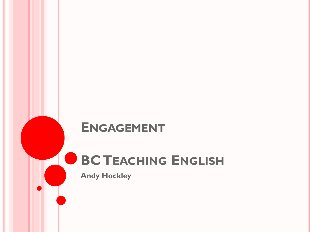## **ENGAGEMENT**

## **BC TEACHING ENGLISH**

**Andy Hockley**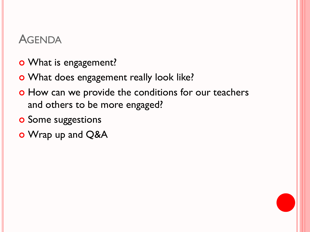## **AGENDA**

- o What is engagement?
- o What does engagement really look like?
- o How can we provide the conditions for our teachers and others to be more engaged?
- **o** Some suggestions
- o Wrap up and Q&A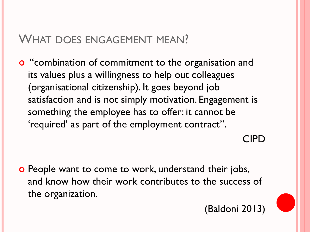## WHAT DOES ENGAGEMENT MEAN?

**o** "combination of commitment to the organisation and its values plus a willingness to help out colleagues (organisational citizenship). It goes beyond job satisfaction and is not simply motivation. Engagement is something the employee has to offer: it cannot be 'required' as part of the employment contract".

CIPD

**o** People want to come to work, understand their jobs, and know how their work contributes to the success of the organization.

(Baldoni 2013)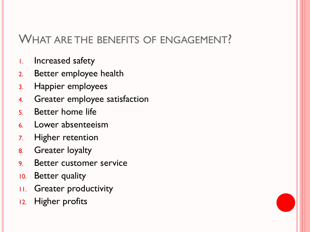## WHAT ARE THE BENEFITS OF ENGAGEMENT?

- 1. Increased safety
- 2. Better employee health
- 3. Happier employees
- 4. Greater employee satisfaction
- 5. Better home life
- 6. Lower absenteeism
- 7. Higher retention
- 8. Greater loyalty
- 9. Better customer service
- 10. Better quality
- 11. Greater productivity
- 12. Higher profits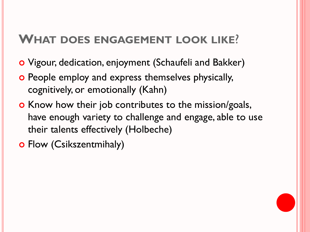## **WHAT DOES ENGAGEMENT LOOK LIKE**?

- Vigour, dedication, enjoyment (Schaufeli and Bakker)
- o People employ and express themselves physically, cognitively, or emotionally (Kahn)
- **o** Know how their job contributes to the mission/goals, have enough variety to challenge and engage, able to use their talents effectively (Holbeche)
- o Flow (Csikszentmihaly)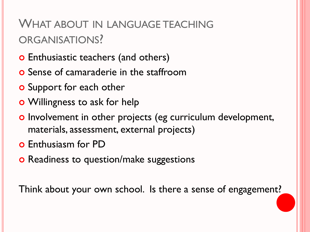## WHAT ABOUT IN LANGUAGE TEACHING ORGANISATIONS?

- o Enthusiastic teachers (and others)
- **o** Sense of camaraderie in the staffroom
- **o** Support for each other
- Willingness to ask for help
- o Involvement in other projects (eg curriculum development, materials, assessment, external projects)
- **o** Enthusiasm for PD
- **o** Readiness to question/make suggestions

Think about your own school. Is there a sense of engagement?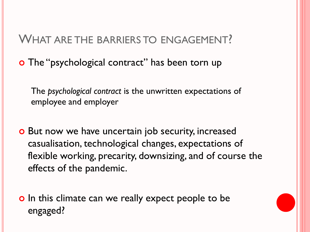## WHAT ARE THE BARRIERS TO ENGAGEMENT?

o The "psychological contract" has been torn up

The *psychological contract* is the unwritten expectations of employee and employer

o But now we have uncertain job security, increased casualisation, technological changes, expectations of flexible working, precarity, downsizing, and of course the effects of the pandemic.

**o** In this climate can we really expect people to be engaged?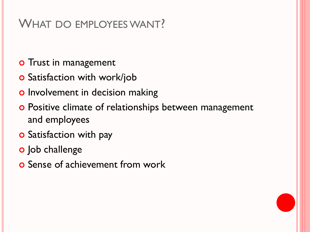## WHAT DO EMPLOYEES WANT?

- **o** Trust in management
- **o** Satisfaction with work/job
- **o** Involvement in decision making
- **o** Positive climate of relationships between management and employees
- **o** Satisfaction with pay
- o Job challenge
- **o** Sense of achievement from work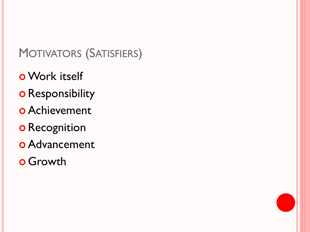## MOTIVATORS (SATISFIERS)

- Work itself
- o Responsibility
- Achievement
- o Recognition
- Advancement
- **o** Growth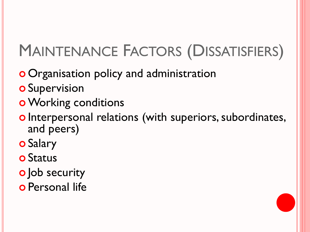# MAINTENANCE FACTORS (DISSATISFIERS)

- o Organisation policy and administration
- **o** Supervision
- **o** Working conditions
- o Interpersonal relations (with superiors, subordinates, and peers)
- **o** Salary
- **o** Status
- o Job security
- o Personal life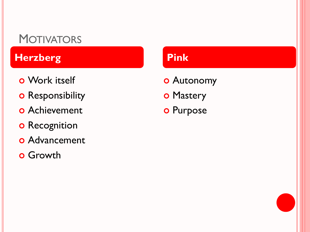## **MOTIVATORS**

## **Herzberg Pink**

- Work itself
- o Responsibility
- Achievement
- **o** Recognition
- **o** Advancement
- **o** Growth

- Autonomy
- o Mastery
- o Purpose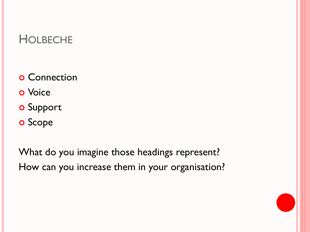## **HOLBECHE**

- **o** Connection
- **o** Voice
- **o** Support
- o Scope

What do you imagine those headings represent? How can you increase them in your organisation?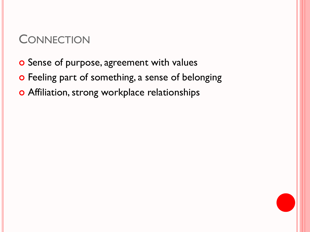## **CONNECTION**

- o Sense of purpose, agreement with values
- o Feeling part of something, a sense of belonging
- o Affiliation, strong workplace relationships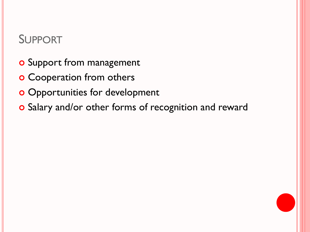## SUPPORT

- **o** Support from management
- **o** Cooperation from others
- **o** Opportunities for development
- o Salary and/or other forms of recognition and reward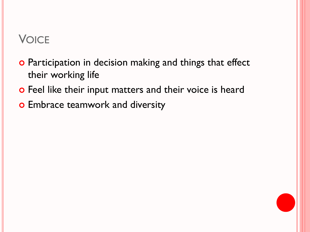## **VOICE**

- o Participation in decision making and things that effect their working life
- o Feel like their input matters and their voice is heard
- o Embrace teamwork and diversity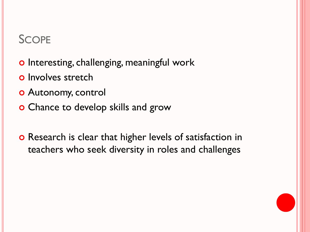## **SCOPE**

- o Interesting, challenging, meaningful work
- **o** Involves stretch
- Autonomy, control
- **o** Chance to develop skills and grow
- **o** Research is clear that higher levels of satisfaction in teachers who seek diversity in roles and challenges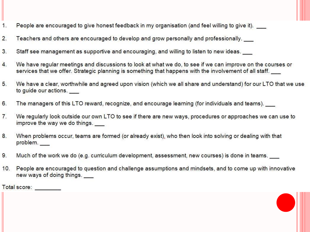- People are encouraged to give honest feedback in my organisation (and feel willing to give it).  $1.$
- Teachers and others are encouraged to develop and grow personally and professionally.  $2.$
- $3.$ Staff see management as supportive and encouraging, and willing to listen to new ideas.
- We have regular meetings and discussions to look at what we do, to see if we can improve on the courses or 4. services that we offer. Strategic planning is something that happens with the involvement of all staff.
- $5.$ We have a clear, worthwhile and agreed upon vision (which we all share and understand) for our LTO that we use to guide our actions.
- 6. The managers of this LTO reward, recognize, and encourage learning (for individuals and teams).
- $7.$ We regularly look outside our own LTO to see if there are new ways, procedures or approaches we can use to improve the way we do things.
- 8. When problems occur, teams are formed (or already exist), who then look into solving or dealing with that problem.
- 9. Much of the work we do (e.g. curriculum development, assessment, new courses) is done in teams.
- People are encouraged to question and challenge assumptions and mindsets, and to come up with innovative  $10.$ new ways of doing things.

Total score: <u>www.community.com</u>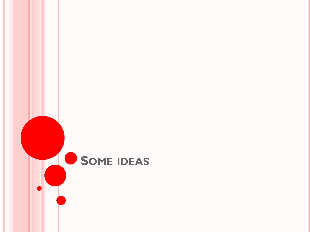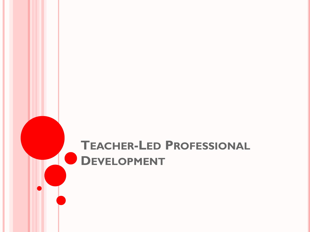## **TEACHER-LED PROFESSIONAL DDEVELOPMENT**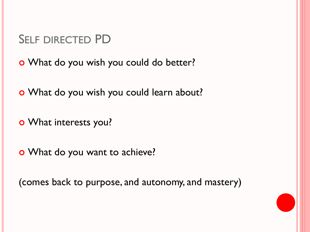## SELF DIRECTED PD

What do you wish you could do better?

What do you wish you could learn about?

What interests you?

What do you want to achieve?

(comes back to purpose, and autonomy, and mastery)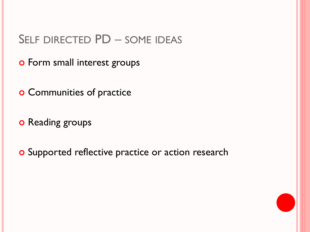- **o** Form small interest groups
- **o** Communities of practice
- o Reading groups
- o Supported reflective practice or action research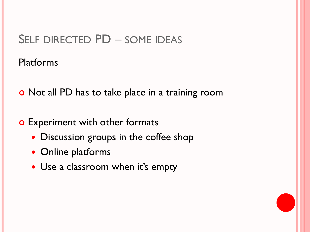#### Platforms

o Not all PD has to take place in a training room

- **o** Experiment with other formats
	- Discussion groups in the coffee shop
	- Online platforms
	- Use a classroom when it's empty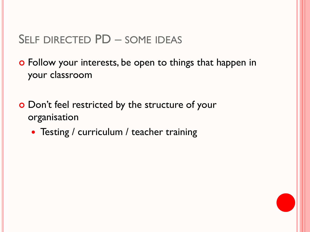**o** Follow your interests, be open to things that happen in your classroom

o Don't feel restricted by the structure of your organisation

• Testing / curriculum / teacher training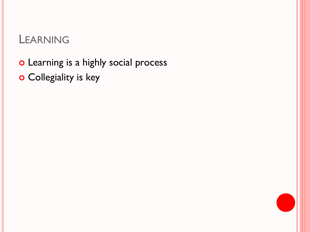## LEARNING

o Learning is a highly social process

o Collegiality is key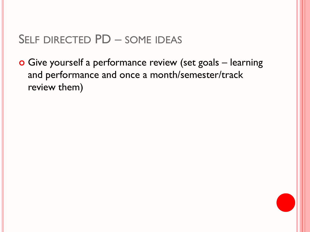Give yourself a performance review (set goals – learning and performance and once a month/semester/track review them)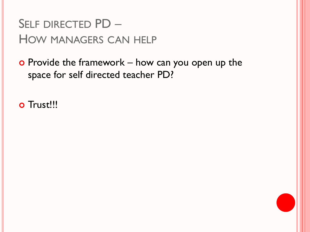## SELF DIRECTED PD – HOW MANAGERS CAN HELP

 $\bullet$  Provide the framework – how can you open up the space for self directed teacher PD?

o Trust!!!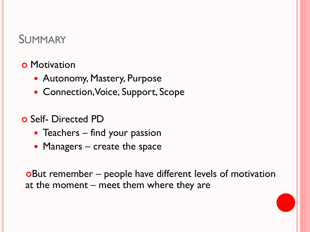## SUMMARY

- **o** Motivation
	- Autonomy, Mastery, Purpose
	- Connection, Voice, Support, Scope
- o Self- Directed PD
	- Teachers find your passion
	- Managers create the space

But remember – people have different levels of motivation at the moment – meet them where they are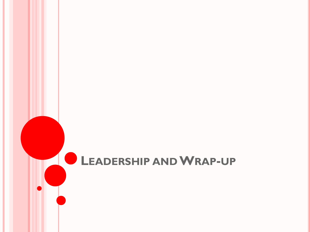## **LEADERSHIP ANDWRAP-UP**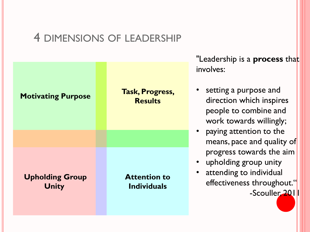## 4 DIMENSIONS OF LEADERSHIP



"Leadership is a **process** that involves:

- setting a purpose and direction which inspires people to combine and work towards willingly;
- paying attention to the means, pace and quality of progress towards the aim
- upholding group unity
	- attending to individual effectiveness throughout." -Scouller, 2011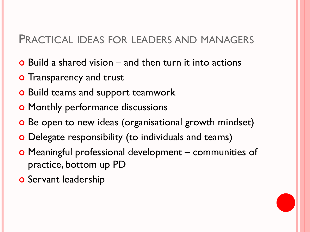#### PRACTICAL IDEAS FOR LEADERS AND MANAGERS

- $\bullet$  Build a shared vision and then turn it into actions
- **o** Transparency and trust
- **o** Build teams and support teamwork
- **o** Monthly performance discussions
- o Be open to new ideas (organisational growth mindset)
- Delegate responsibility (to individuals and teams)
- Meaningful professional development communities of practice, bottom up PD
- **o** Servant leadership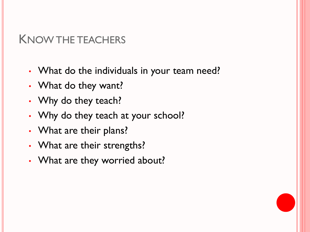## KNOW THE TEACHERS

- What do the individuals in your team need?
- What do they want?
- Why do they teach?
- Why do they teach at your school?
- What are their plans?
- What are their strengths?
- What are they worried about?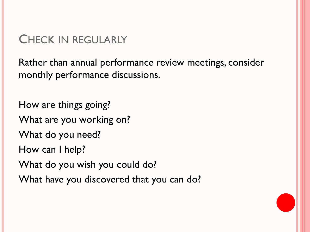## CHECK IN REGULARLY

Rather than annual performance review meetings, consider monthly performance discussions.

How are things going? What are you working on? What do you need? How can I help? What do you wish you could do? What have you discovered that you can do?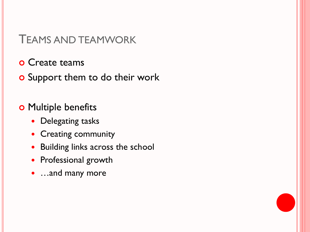#### TEAMS AND TEAMWORK

- **o** Create teams
- o Support them to do their work

**o** Multiple benefits

- Delegating tasks
- Creating community
- Building links across the school
- Professional growth
- …and many more